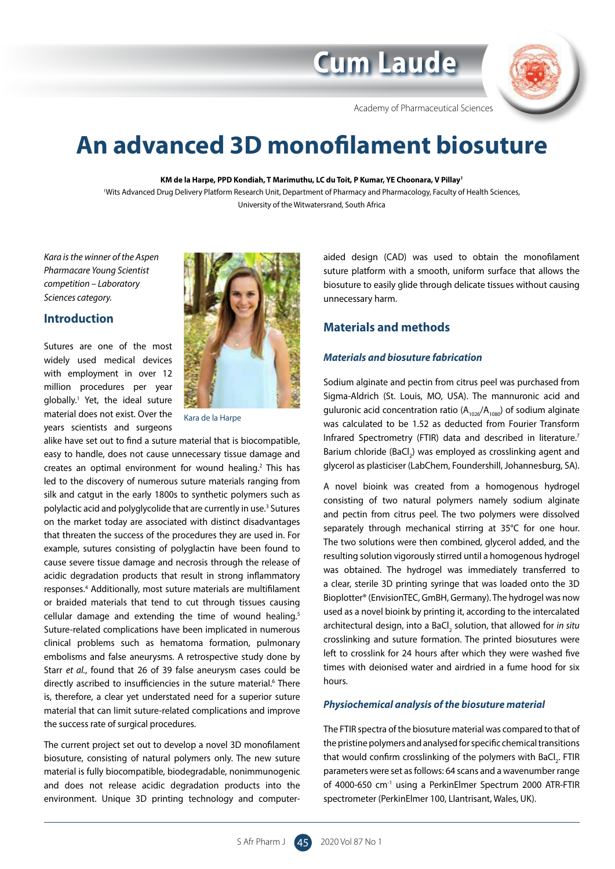# **Cum Laude**



Academy of Pharmaceutical Sciences

# **An advanced 3D monofilament biosuture**

**KM de la Harpe, PPD Kondiah, T Marimuthu, LC du Toit, P Kumar, YE Choonara, V Pillay1** 

1 Wits Advanced Drug Delivery Platform Research Unit, Department of Pharmacy and Pharmacology, Faculty of Health Sciences, University of the Witwatersrand, South Africa

*Kara is the winner of the Aspen Pharmacare Young Scientist competition – Laboratory Sciences category.*

# **Introduction**

Sutures are one of the most widely used medical devices with employment in over 12 million procedures per year globally.1 Yet, the ideal suture material does not exist. Over the years scientists and surgeons



Kara de la Harpe

alike have set out to find a suture material that is biocompatible, easy to handle, does not cause unnecessary tissue damage and creates an optimal environment for wound healing.<sup>2</sup> This has led to the discovery of numerous suture materials ranging from silk and catgut in the early 1800s to synthetic polymers such as polylactic acid and polyglycolide that are currently in use.<sup>3</sup> Sutures on the market today are associated with distinct disadvantages that threaten the success of the procedures they are used in. For example, sutures consisting of polyglactin have been found to cause severe tissue damage and necrosis through the release of acidic degradation products that result in strong inflammatory responses.4 Additionally, most suture materials are multifilament or braided materials that tend to cut through tissues causing cellular damage and extending the time of wound healing.<sup>5</sup> Suture-related complications have been implicated in numerous clinical problems such as hematoma formation, pulmonary embolisms and false aneurysms. A retrospective study done by Starr *et al.*, found that 26 of 39 false aneurysm cases could be directly ascribed to insufficiencies in the suture material.<sup>6</sup> There is, therefore, a clear yet understated need for a superior suture material that can limit suture-related complications and improve the success rate of surgical procedures.

The current project set out to develop a novel 3D monofilament biosuture, consisting of natural polymers only. The new suture material is fully biocompatible, biodegradable, nonimmunogenic and does not release acidic degradation products into the environment. Unique 3D printing technology and computeraided design (CAD) was used to obtain the monofilament suture platform with a smooth, uniform surface that allows the biosuture to easily glide through delicate tissues without causing unnecessary harm.

## **Materials and methods**

#### *Materials and biosuture fabrication*

Sodium alginate and pectin from citrus peel was purchased from Sigma-Aldrich (St. Louis, MO, USA). The mannuronic acid and guluronic acid concentration ratio  $(A_{1026}/A_{1080})$  of sodium alginate was calculated to be 1.52 as deducted from Fourier Transform Infrared Spectrometry (FTIR) data and described in literature.<sup>7</sup> Barium chloride (BaCl<sub>2</sub>) was employed as crosslinking agent and glycerol as plasticiser (LabChem, Foundershill, Johannesburg, SA).

A novel bioink was created from a homogenous hydrogel consisting of two natural polymers namely sodium alginate and pectin from citrus peel. The two polymers were dissolved separately through mechanical stirring at 35°C for one hour. The two solutions were then combined, glycerol added, and the resulting solution vigorously stirred until a homogenous hydrogel was obtained. The hydrogel was immediately transferred to a clear, sterile 3D printing syringe that was loaded onto the 3D Bioplotter® (EnvisionTEC, GmBH, Germany). The hydrogel was now used as a novel bioink by printing it, according to the intercalated architectural design, into a BaCl<sub>2</sub> solution, that allowed for *in situ* crosslinking and suture formation. The printed biosutures were left to crosslink for 24 hours after which they were washed five times with deionised water and airdried in a fume hood for six hours.

#### *Physiochemical analysis of the biosuture material*

The FTIR spectra of the biosuture material was compared to that of the pristine polymers and analysed for specific chemical transitions that would confirm crosslinking of the polymers with BaCl<sub>2</sub>. FTIR parameters were set as follows: 64 scans and a wavenumber range of 4000-650 cm<sup>-1</sup> using a PerkinElmer Spectrum 2000 ATR-FTIR spectrometer (PerkinElmer 100, Llantrisant, Wales, UK).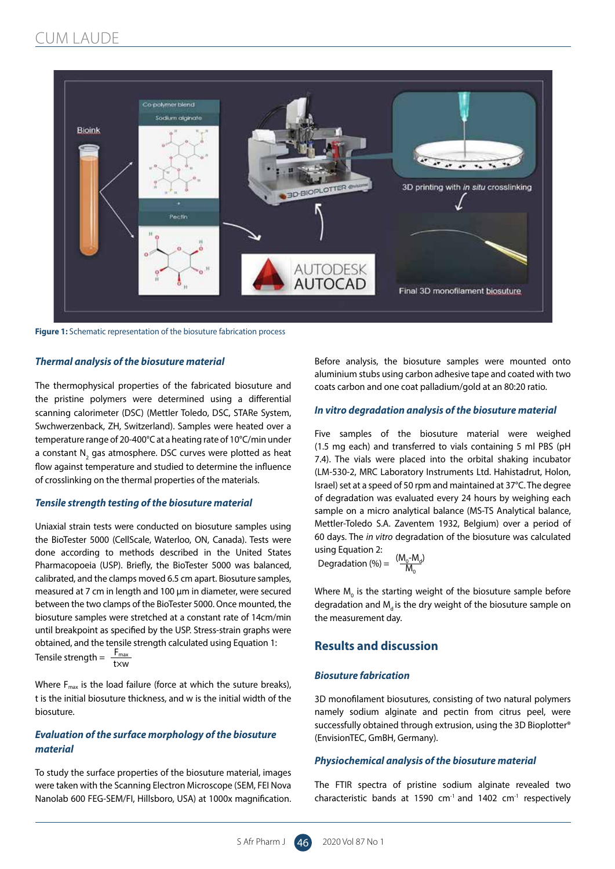

**Figure 1:** Schematic representation of the biosuture fabrication process

#### *Thermal analysis of the biosuture material*

The thermophysical properties of the fabricated biosuture and the pristine polymers were determined using a differential scanning calorimeter (DSC) (Mettler Toledo, DSC, STARe System, Swchwerzenback, ZH, Switzerland). Samples were heated over a temperature range of 20-400°C at a heating rate of 10°C/min under a constant  $\mathsf{N}_\mathsf{2}$  gas atmosphere. DSC curves were plotted as heat flow against temperature and studied to determine the influence of crosslinking on the thermal properties of the materials.

#### *Tensile strength testing of the biosuture material*

Uniaxial strain tests were conducted on biosuture samples using the BioTester 5000 (CellScale, Waterloo, ON, Canada). Tests were done according to methods described in the United States Pharmacopoeia (USP). Briefly, the BioTester 5000 was balanced, calibrated, and the clamps moved 6.5 cm apart. Biosuture samples, measured at 7 cm in length and 100 µm in diameter, were secured between the two clamps of the BioTester 5000. Once mounted, the biosuture samples were stretched at a constant rate of 14cm/min until breakpoint as specified by the USP. Stress-strain graphs were obtained, and the tensile strength calculated using Equation 1: Tensile strength =  $\frac{F_{\text{max}}}{\text{txw}}$ 

Where  $F_{\text{max}}$  is the load failure (force at which the suture breaks), t is the initial biosuture thickness, and w is the initial width of the biosuture.

### *Evaluation of the surface morphology of the biosuture material*

To study the surface properties of the biosuture material, images were taken with the Scanning Electron Microscope (SEM, FEI Nova Nanolab 600 FEG-SEM/FI, Hillsboro, USA) at 1000x magnification.

Before analysis, the biosuture samples were mounted onto aluminium stubs using carbon adhesive tape and coated with two coats carbon and one coat palladium/gold at an 80:20 ratio.

#### *In vitro degradation analysis of the biosuture material*

Five samples of the biosuture material were weighed (1.5 mg each) and transferred to vials containing 5 ml PBS (pH 7.4). The vials were placed into the orbital shaking incubator (LM-530-2, MRC Laboratory Instruments Ltd. Hahistadrut, Holon, Israel) set at a speed of 50 rpm and maintained at 37°C. The degree of degradation was evaluated every 24 hours by weighing each sample on a micro analytical balance (MS-TS Analytical balance, Mettler-Toledo S.A. Zaventem 1932, Belgium) over a period of 60 days. The *in vitro* degradation of the biosuture was calculated using Equation 2:

Degradation (%) =  $\frac{(M_0 - M_d)}{M}$  $\overline{\mathsf{M}}_{\mathsf{c}}$ 

Where  $M_{0}$  is the starting weight of the biosuture sample before degradation and  $M<sub>a</sub>$  is the dry weight of the biosuture sample on the measurement day.

## **Results and discussion**

#### *Biosuture fabrication*

3D monofilament biosutures, consisting of two natural polymers namely sodium alginate and pectin from citrus peel, were successfully obtained through extrusion, using the 3D Bioplotter® (EnvisionTEC, GmBH, Germany).

#### *Physiochemical analysis of the biosuture material*

The FTIR spectra of pristine sodium alginate revealed two characteristic bands at 1590  $cm^{-1}$  and 1402  $cm^{-1}$  respectively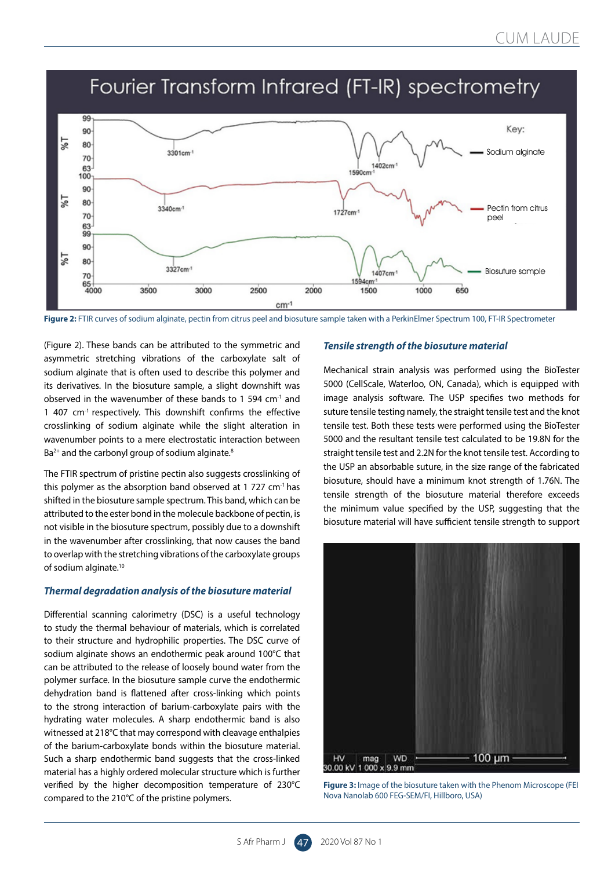# Fourier Transform Infrared (FT-IR) spectrometry



Figure 2: FTIR curves of sodium alginate, pectin from citrus peel and biosuture sample taken with a PerkinElmer Spectrum 100, FT-IR Spectrometer

(Figure 2). These bands can be attributed to the symmetric and asymmetric stretching vibrations of the carboxylate salt of sodium alginate that is often used to describe this polymer and its derivatives. In the biosuture sample, a slight downshift was observed in the wavenumber of these bands to 1 594 cm-1 and 1 407 cm<sup>-1</sup> respectively. This downshift confirms the effective crosslinking of sodium alginate while the slight alteration in wavenumber points to a mere electrostatic interaction between  $Ba<sup>2+</sup>$  and the carbonyl group of sodium alginate.<sup>8</sup>

The FTIR spectrum of pristine pectin also suggests crosslinking of this polymer as the absorption band observed at 1 727  $cm<sup>-1</sup>$  has shifted in the biosuture sample spectrum. This band, which can be attributed to the ester bond in the molecule backbone of pectin, is not visible in the biosuture spectrum, possibly due to a downshift in the wavenumber after crosslinking, that now causes the band to overlap with the stretching vibrations of the carboxylate groups of sodium alginate.10

#### *Thermal degradation analysis of the biosuture material*

Differential scanning calorimetry (DSC) is a useful technology to study the thermal behaviour of materials, which is correlated to their structure and hydrophilic properties. The DSC curve of sodium alginate shows an endothermic peak around 100°C that can be attributed to the release of loosely bound water from the polymer surface. In the biosuture sample curve the endothermic dehydration band is flattened after cross-linking which points to the strong interaction of barium-carboxylate pairs with the hydrating water molecules. A sharp endothermic band is also witnessed at 218°C that may correspond with cleavage enthalpies of the barium-carboxylate bonds within the biosuture material. Such a sharp endothermic band suggests that the cross-linked material has a highly ordered molecular structure which is further verified by the higher decomposition temperature of 230°C compared to the 210°C of the pristine polymers.

#### *Tensile strength of the biosuture material*

Mechanical strain analysis was performed using the BioTester 5000 (CellScale, Waterloo, ON, Canada), which is equipped with image analysis software. The USP specifies two methods for suture tensile testing namely, the straight tensile test and the knot tensile test. Both these tests were performed using the BioTester 5000 and the resultant tensile test calculated to be 19.8N for the straight tensile test and 2.2N for the knot tensile test. According to the USP an absorbable suture, in the size range of the fabricated biosuture, should have a minimum knot strength of 1.76N. The tensile strength of the biosuture material therefore exceeds the minimum value specified by the USP, suggesting that the biosuture material will have sufficient tensile strength to support



**Figure 3:** Image of the biosuture taken with the Phenom Microscope (FEI Nova Nanolab 600 FEG-SEM/FI, Hillboro, USA)